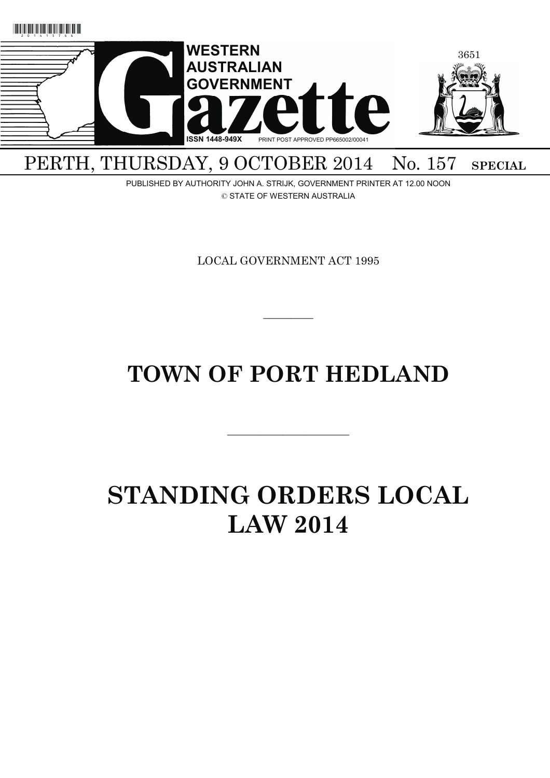

### PERTH, THURSDAY, 9 OCTOBER 2014 No. 157 SPECIAL

PUBLISHED BY AUTHORITY JOHN A. STRIJK, GOVERNMENT PRINTER AT 12.00 NOON © STATE OF WESTERN AUSTRALIA

LOCAL GOVERNMENT ACT 1995

## **TOWN OF PORT HEDLAND**

———————————

 $\overline{\phantom{a}}$ 

# **STANDING ORDERS LOCAL LAW 2014**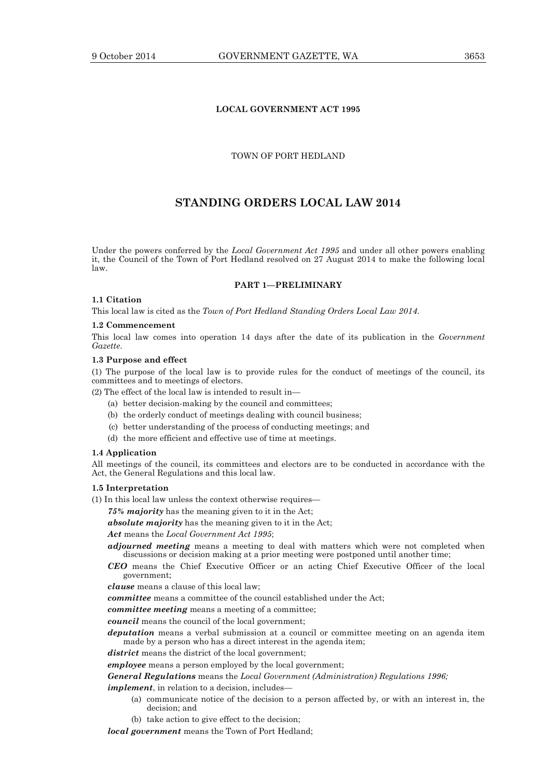#### **LOCAL GOVERNMENT ACT 1995**

#### TOWN OF PORT HEDLAND

### **STANDING ORDERS LOCAL LAW 2014**

Under the powers conferred by the *Local Government Act 1995* and under all other powers enabling it, the Council of the Town of Port Hedland resolved on 27 August 2014 to make the following local law.

#### **PART 1—PRELIMINARY**

#### **1.1 Citation**

This local law is cited as the *Town of Port Hedland Standing Orders Local Law 2014*.

#### **1.2 Commencement**

This local law comes into operation 14 days after the date of its publication in the *Government Gazette*.

#### **1.3 Purpose and effect**

(1) The purpose of the local law is to provide rules for the conduct of meetings of the council, its committees and to meetings of electors.

(2) The effect of the local law is intended to result in—

- (a) better decision-making by the council and committees;
- (b) the orderly conduct of meetings dealing with council business;
- (c) better understanding of the process of conducting meetings; and
- (d) the more efficient and effective use of time at meetings.

#### **1.4 Application**

All meetings of the council, its committees and electors are to be conducted in accordance with the Act, the General Regulations and this local law.

#### **1.5 Interpretation**

(1) In this local law unless the context otherwise requires—

*75% majority* has the meaning given to it in the Act;

*absolute majority* has the meaning given to it in the Act;

#### *Act* means the *Local Government Act 1995*;

*adjourned meeting* means a meeting to deal with matters which were not completed when discussions or decision making at a prior meeting were postponed until another time;

*CEO* means the Chief Executive Officer or an acting Chief Executive Officer of the local government;

*clause* means a clause of this local law;

*committee* means a committee of the council established under the Act;

*committee meeting* means a meeting of a committee;

*council* means the council of the local government;

*deputation* means a verbal submission at a council or committee meeting on an agenda item made by a person who has a direct interest in the agenda item;

*district* means the district of the local government;

*employee* means a person employed by the local government;

*General Regulations* means the *Local Government (Administration) Regulations 1996;*

*implement*, in relation to a decision, includes—

- (a) communicate notice of the decision to a person affected by, or with an interest in, the decision; and
- (b) take action to give effect to the decision;

*local government* means the Town of Port Hedland;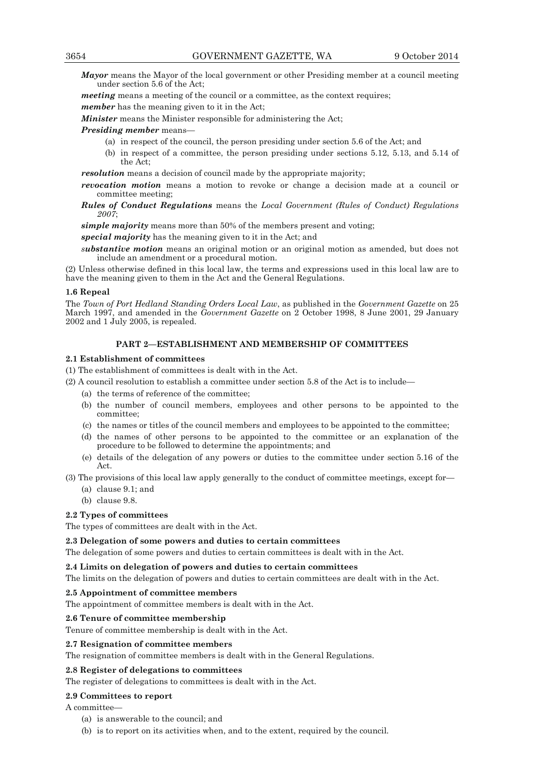*Mayor* means the Mayor of the local government or other Presiding member at a council meeting under section 5.6 of the Act;

*meeting* means a meeting of the council or a committee, as the context requires;

*member* has the meaning given to it in the Act;

*Minister* means the Minister responsible for administering the Act;

*Presiding member* means—

- (a) in respect of the council, the person presiding under section 5.6 of the Act; and
- (b) in respect of a committee, the person presiding under sections 5.12, 5.13, and 5.14 of the Act;

*resolution* means a decision of council made by the appropriate majority;

- *revocation motion* means a motion to revoke or change a decision made at a council or committee meeting;
- *Rules of Conduct Regulations* means the *Local Government (Rules of Conduct) Regulations 2007*;

*simple majority* means more than 50% of the members present and voting;

*special majority* has the meaning given to it in the Act; and

*substantive motion* means an original motion or an original motion as amended, but does not include an amendment or a procedural motion.

(2) Unless otherwise defined in this local law, the terms and expressions used in this local law are to have the meaning given to them in the Act and the General Regulations.

#### **1.6 Repeal**

The *Town of Port Hedland Standing Orders Local Law*, as published in the *Government Gazette* on 25 March 1997, and amended in the *Government Gazette* on 2 October 1998, 8 June 2001, 29 January 2002 and 1 July 2005, is repealed.

#### **PART 2—ESTABLISHMENT AND MEMBERSHIP OF COMMITTEES**

#### **2.1 Establishment of committees**

(1) The establishment of committees is dealt with in the Act.

- (2) A council resolution to establish a committee under section 5.8 of the Act is to include—
	- (a) the terms of reference of the committee;
	- (b) the number of council members, employees and other persons to be appointed to the committee;
	- (c) the names or titles of the council members and employees to be appointed to the committee;
	- (d) the names of other persons to be appointed to the committee or an explanation of the procedure to be followed to determine the appointments; and
	- (e) details of the delegation of any powers or duties to the committee under section 5.16 of the Act.

(3) The provisions of this local law apply generally to the conduct of committee meetings, except for—

- (a) clause 9.1; and
- (b) clause 9.8.

#### **2.2 Types of committees**

The types of committees are dealt with in the Act.

#### **2.3 Delegation of some powers and duties to certain committees**

The delegation of some powers and duties to certain committees is dealt with in the Act.

#### **2.4 Limits on delegation of powers and duties to certain committees**

The limits on the delegation of powers and duties to certain committees are dealt with in the Act.

#### **2.5 Appointment of committee members**

The appointment of committee members is dealt with in the Act.

#### **2.6 Tenure of committee membership**

Tenure of committee membership is dealt with in the Act.

#### **2.7 Resignation of committee members**

The resignation of committee members is dealt with in the General Regulations.

#### **2.8 Register of delegations to committees**

The register of delegations to committees is dealt with in the Act.

#### **2.9 Committees to report**

#### A committee—

- (a) is answerable to the council; and
- (b) is to report on its activities when, and to the extent, required by the council.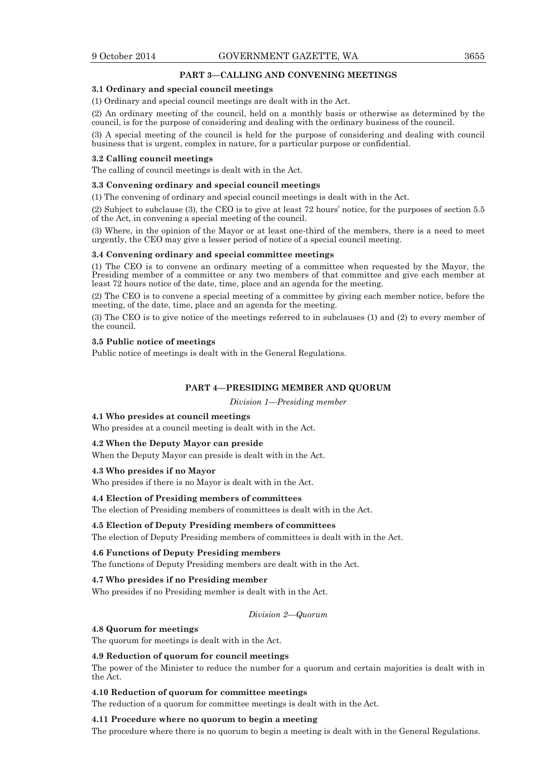#### **PART 3—CALLING AND CONVENING MEETINGS**

#### **3.1 Ordinary and special council meetings**

(1) Ordinary and special council meetings are dealt with in the Act.

(2) An ordinary meeting of the council, held on a monthly basis or otherwise as determined by the council, is for the purpose of considering and dealing with the ordinary business of the council.

(3) A special meeting of the council is held for the purpose of considering and dealing with council business that is urgent, complex in nature, for a particular purpose or confidential.

#### **3.2 Calling council meetings**

The calling of council meetings is dealt with in the Act.

#### **3.3 Convening ordinary and special council meetings**

(1) The convening of ordinary and special council meetings is dealt with in the Act.

(2) Subject to subclause (3), the CEO is to give at least 72 hours' notice, for the purposes of section 5.5 of the Act, in convening a special meeting of the council.

(3) Where, in the opinion of the Mayor or at least one-third of the members, there is a need to meet urgently, the CEO may give a lesser period of notice of a special council meeting.

#### **3.4 Convening ordinary and special committee meetings**

(1) The CEO is to convene an ordinary meeting of a committee when requested by the Mayor, the Presiding member of a committee or any two members of that committee and give each member at least 72 hours notice of the date, time, place and an agenda for the meeting.

(2) The CEO is to convene a special meeting of a committee by giving each member notice, before the meeting, of the date, time, place and an agenda for the meeting.

(3) The CEO is to give notice of the meetings referred to in subclauses (1) and (2) to every member of the council.

#### **3.5 Public notice of meetings**

Public notice of meetings is dealt with in the General Regulations.

#### **PART 4—PRESIDING MEMBER AND QUORUM**

*Division 1—Presiding member*

#### **4.1 Who presides at council meetings**

Who presides at a council meeting is dealt with in the Act.

#### **4.2 When the Deputy Mayor can preside**

When the Deputy Mayor can preside is dealt with in the Act.

#### **4.3 Who presides if no Mayor**

Who presides if there is no Mayor is dealt with in the Act.

#### **4.4 Election of Presiding members of committees**

The election of Presiding members of committees is dealt with in the Act.

#### **4.5 Election of Deputy Presiding members of committees**

The election of Deputy Presiding members of committees is dealt with in the Act.

#### **4.6 Functions of Deputy Presiding members**

The functions of Deputy Presiding members are dealt with in the Act.

#### **4.7 Who presides if no Presiding member**

Who presides if no Presiding member is dealt with in the Act.

#### *Division 2—Quorum*

#### **4.8 Quorum for meetings**

The quorum for meetings is dealt with in the Act.

#### **4.9 Reduction of quorum for council meetings**

The power of the Minister to reduce the number for a quorum and certain majorities is dealt with in the Act.

#### **4.10 Reduction of quorum for committee meetings**

The reduction of a quorum for committee meetings is dealt with in the Act.

#### **4.11 Procedure where no quorum to begin a meeting**

The procedure where there is no quorum to begin a meeting is dealt with in the General Regulations.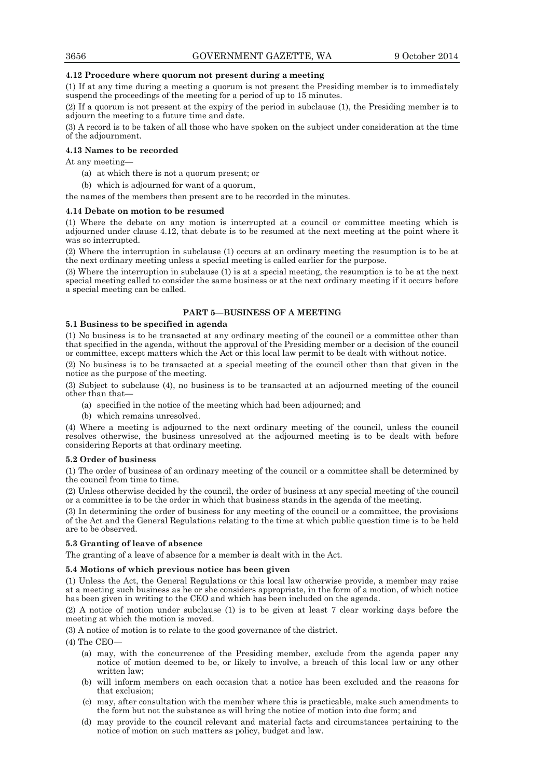#### **4.12 Procedure where quorum not present during a meeting**

(1) If at any time during a meeting a quorum is not present the Presiding member is to immediately suspend the proceedings of the meeting for a period of up to 15 minutes.

(2) If a quorum is not present at the expiry of the period in subclause (1), the Presiding member is to adjourn the meeting to a future time and date.

(3) A record is to be taken of all those who have spoken on the subject under consideration at the time of the adjournment.

#### **4.13 Names to be recorded**

At any meeting—

- (a) at which there is not a quorum present; or
- (b) which is adjourned for want of a quorum,

the names of the members then present are to be recorded in the minutes.

#### **4.14 Debate on motion to be resumed**

(1) Where the debate on any motion is interrupted at a council or committee meeting which is adjourned under clause 4.12, that debate is to be resumed at the next meeting at the point where it was so interrupted.

(2) Where the interruption in subclause (1) occurs at an ordinary meeting the resumption is to be at the next ordinary meeting unless a special meeting is called earlier for the purpose.

(3) Where the interruption in subclause (1) is at a special meeting, the resumption is to be at the next special meeting called to consider the same business or at the next ordinary meeting if it occurs before a special meeting can be called.

#### **PART 5—BUSINESS OF A MEETING**

#### **5.1 Business to be specified in agenda**

(1) No business is to be transacted at any ordinary meeting of the council or a committee other than that specified in the agenda, without the approval of the Presiding member or a decision of the council or committee, except matters which the Act or this local law permit to be dealt with without notice.

(2) No business is to be transacted at a special meeting of the council other than that given in the notice as the purpose of the meeting.

(3) Subject to subclause (4), no business is to be transacted at an adjourned meeting of the council other than that—

- (a) specified in the notice of the meeting which had been adjourned; and
- (b) which remains unresolved.

(4) Where a meeting is adjourned to the next ordinary meeting of the council, unless the council resolves otherwise, the business unresolved at the adjourned meeting is to be dealt with before considering Reports at that ordinary meeting.

#### **5.2 Order of business**

(1) The order of business of an ordinary meeting of the council or a committee shall be determined by the council from time to time.

(2) Unless otherwise decided by the council, the order of business at any special meeting of the council or a committee is to be the order in which that business stands in the agenda of the meeting.

(3) In determining the order of business for any meeting of the council or a committee, the provisions of the Act and the General Regulations relating to the time at which public question time is to be held are to be observed.

#### **5.3 Granting of leave of absence**

The granting of a leave of absence for a member is dealt with in the Act.

#### **5.4 Motions of which previous notice has been given**

(1) Unless the Act, the General Regulations or this local law otherwise provide, a member may raise at a meeting such business as he or she considers appropriate, in the form of a motion, of which notice has been given in writing to the CEO and which has been included on the agenda.

(2) A notice of motion under subclause (1) is to be given at least 7 clear working days before the meeting at which the motion is moved.

(3) A notice of motion is to relate to the good governance of the district.

(4) The CEO—

- (a) may, with the concurrence of the Presiding member, exclude from the agenda paper any notice of motion deemed to be, or likely to involve, a breach of this local law or any other written law;
- (b) will inform members on each occasion that a notice has been excluded and the reasons for that exclusion;
- (c) may, after consultation with the member where this is practicable, make such amendments to the form but not the substance as will bring the notice of motion into due form; and
- (d) may provide to the council relevant and material facts and circumstances pertaining to the notice of motion on such matters as policy, budget and law.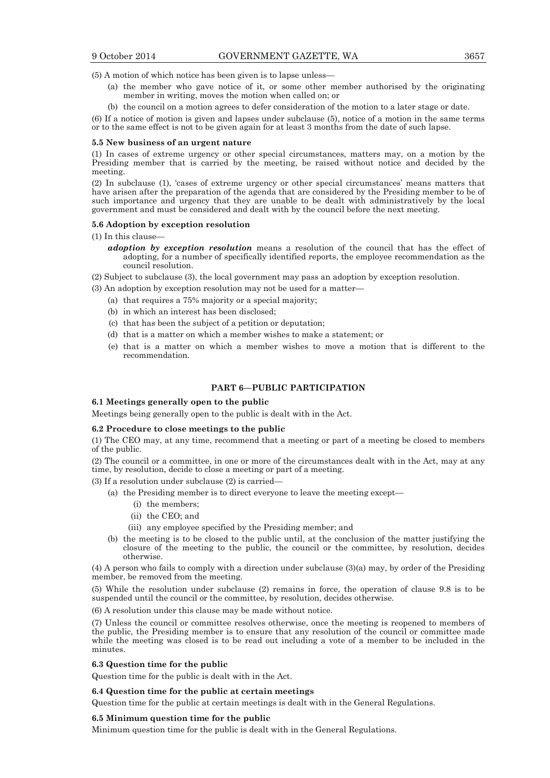(5) A motion of which notice has been given is to lapse unless—

- (a) the member who gave notice of it, or some other member authorised by the originating member in writing, moves the motion when called on; or
- (b) the council on a motion agrees to defer consideration of the motion to a later stage or date.

(6) If a notice of motion is given and lapses under subclause (5), notice of a motion in the same terms or to the same effect is not to be given again for at least 3 months from the date of such lapse.

#### **5.5 New business of an urgent nature**

(1) In cases of extreme urgency or other special circumstances, matters may, on a motion by the Presiding member that is carried by the meeting, be raised without notice and decided by the meeting.

(2) In subclause (1), 'cases of extreme urgency or other special circumstances' means matters that have arisen after the preparation of the agenda that are considered by the Presiding member to be of such importance and urgency that they are unable to be dealt with administratively by the local government and must be considered and dealt with by the council before the next meeting.

#### **5.6 Adoption by exception resolution**

(1) In this clause—

*adoption by exception resolution* means a resolution of the council that has the effect of adopting, for a number of specifically identified reports, the employee recommendation as the council resolution.

(2) Subject to subclause (3), the local government may pass an adoption by exception resolution.

- (3) An adoption by exception resolution may not be used for a matter—
	- (a) that requires a 75% majority or a special majority;
	- (b) in which an interest has been disclosed;
	- (c) that has been the subject of a petition or deputation;
	- (d) that is a matter on which a member wishes to make a statement; or
	- (e) that is a matter on which a member wishes to move a motion that is different to the recommendation.

#### **PART 6—PUBLIC PARTICIPATION**

#### **6.1 Meetings generally open to the public**

Meetings being generally open to the public is dealt with in the Act.

#### **6.2 Procedure to close meetings to the public**

(1) The CEO may, at any time, recommend that a meeting or part of a meeting be closed to members of the public.

(2) The council or a committee, in one or more of the circumstances dealt with in the Act, may at any time, by resolution, decide to close a meeting or part of a meeting.

(3) If a resolution under subclause (2) is carried—

- (a) the Presiding member is to direct everyone to leave the meeting except—
	- (i) the members;
	- (ii) the CEO; and
	- (iii) any employee specified by the Presiding member; and
- (b) the meeting is to be closed to the public until, at the conclusion of the matter justifying the closure of the meeting to the public, the council or the committee, by resolution, decides otherwise.

(4) A person who fails to comply with a direction under subclause (3)(a) may, by order of the Presiding member, be removed from the meeting.

(5) While the resolution under subclause (2) remains in force, the operation of clause 9.8 is to be suspended until the council or the committee, by resolution, decides otherwise.

(6) A resolution under this clause may be made without notice.

(7) Unless the council or committee resolves otherwise, once the meeting is reopened to members of the public, the Presiding member is to ensure that any resolution of the council or committee made while the meeting was closed is to be read out including a vote of a member to be included in the minutes.

#### **6.3 Question time for the public**

Question time for the public is dealt with in the Act.

#### **6.4 Question time for the public at certain meetings**

Question time for the public at certain meetings is dealt with in the General Regulations.

#### **6.5 Minimum question time for the public**

Minimum question time for the public is dealt with in the General Regulations.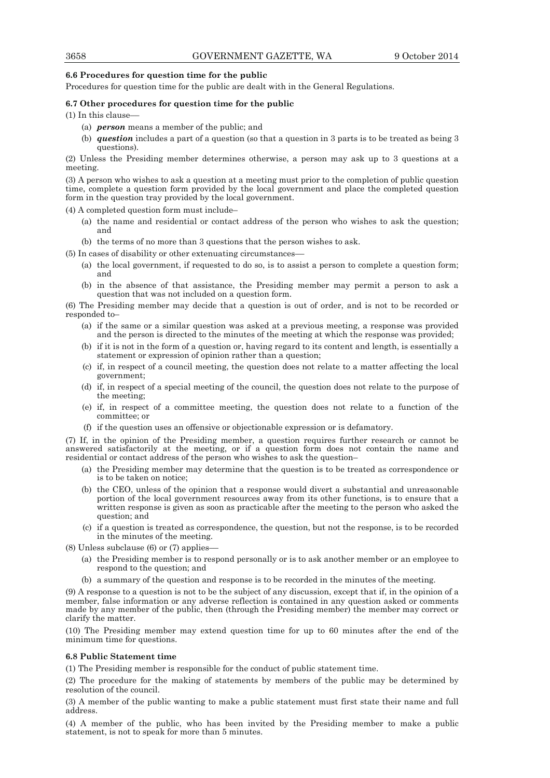#### **6.6 Procedures for question time for the public**

Procedures for question time for the public are dealt with in the General Regulations.

#### **6.7 Other procedures for question time for the public**

(1) In this clause––

- (a) *person* means a member of the public; and
- (b) *question* includes a part of a question (so that a question in 3 parts is to be treated as being 3 questions).

(2) Unless the Presiding member determines otherwise, a person may ask up to 3 questions at a meeting.

(3) A person who wishes to ask a question at a meeting must prior to the completion of public question time, complete a question form provided by the local government and place the completed question form in the question tray provided by the local government.

(4) A completed question form must include–

- (a) the name and residential or contact address of the person who wishes to ask the question; and
- (b) the terms of no more than 3 questions that the person wishes to ask.
- (5) In cases of disability or other extenuating circumstances––
	- (a) the local government, if requested to do so, is to assist a person to complete a question form; and
	- (b) in the absence of that assistance, the Presiding member may permit a person to ask a question that was not included on a question form.

(6) The Presiding member may decide that a question is out of order, and is not to be recorded or responded to–

- (a) if the same or a similar question was asked at a previous meeting, a response was provided and the person is directed to the minutes of the meeting at which the response was provided;
- (b) if it is not in the form of a question or, having regard to its content and length, is essentially a statement or expression of opinion rather than a question;
- (c) if, in respect of a council meeting, the question does not relate to a matter affecting the local government;
- (d) if, in respect of a special meeting of the council, the question does not relate to the purpose of the meeting;
- (e) if, in respect of a committee meeting, the question does not relate to a function of the committee; or
- (f) if the question uses an offensive or objectionable expression or is defamatory.

(7) If, in the opinion of the Presiding member, a question requires further research or cannot be answered satisfactorily at the meeting, or if a question form does not contain the name and residential or contact address of the person who wishes to ask the question–

- (a) the Presiding member may determine that the question is to be treated as correspondence or is to be taken on notice;
- (b) the CEO, unless of the opinion that a response would divert a substantial and unreasonable portion of the local government resources away from its other functions, is to ensure that a written response is given as soon as practicable after the meeting to the person who asked the question; and
- (c) if a question is treated as correspondence, the question, but not the response, is to be recorded in the minutes of the meeting.
- $(8)$  Unless subclause  $(6)$  or  $(7)$  applies
	- (a) the Presiding member is to respond personally or is to ask another member or an employee to respond to the question; and
	- (b) a summary of the question and response is to be recorded in the minutes of the meeting.

(9) A response to a question is not to be the subject of any discussion, except that if, in the opinion of a member, false information or any adverse reflection is contained in any question asked or comments made by any member of the public, then (through the Presiding member) the member may correct or clarify the matter.

(10) The Presiding member may extend question time for up to 60 minutes after the end of the minimum time for questions.

#### **6.8 Public Statement time**

(1) The Presiding member is responsible for the conduct of public statement time.

(2) The procedure for the making of statements by members of the public may be determined by resolution of the council.

(3) A member of the public wanting to make a public statement must first state their name and full address.

(4) A member of the public, who has been invited by the Presiding member to make a public statement, is not to speak for more than 5 minutes.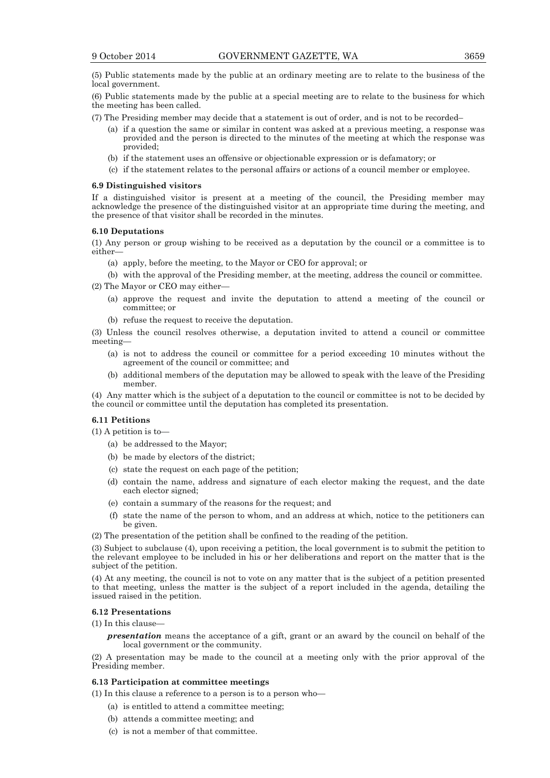(5) Public statements made by the public at an ordinary meeting are to relate to the business of the local government.

(6) Public statements made by the public at a special meeting are to relate to the business for which the meeting has been called.

- (7) The Presiding member may decide that a statement is out of order, and is not to be recorded–
	- (a) if a question the same or similar in content was asked at a previous meeting, a response was provided and the person is directed to the minutes of the meeting at which the response was provided;
	- (b) if the statement uses an offensive or objectionable expression or is defamatory; or
	- (c) if the statement relates to the personal affairs or actions of a council member or employee.

#### **6.9 Distinguished visitors**

If a distinguished visitor is present at a meeting of the council, the Presiding member may acknowledge the presence of the distinguished visitor at an appropriate time during the meeting, and the presence of that visitor shall be recorded in the minutes.

#### **6.10 Deputations**

(1) Any person or group wishing to be received as a deputation by the council or a committee is to either—

(a) apply, before the meeting, to the Mayor or CEO for approval; or

 (b) with the approval of the Presiding member, at the meeting, address the council or committee. (2) The Mayor or CEO may either—

- - (a) approve the request and invite the deputation to attend a meeting of the council or committee; or
	- (b) refuse the request to receive the deputation.

(3) Unless the council resolves otherwise, a deputation invited to attend a council or committee meeting—

- (a) is not to address the council or committee for a period exceeding 10 minutes without the agreement of the council or committee; and
- (b) additional members of the deputation may be allowed to speak with the leave of the Presiding member.

(4) Any matter which is the subject of a deputation to the council or committee is not to be decided by the council or committee until the deputation has completed its presentation.

#### **6.11 Petitions**

(1) A petition is to—

- (a) be addressed to the Mayor;
- (b) be made by electors of the district;
- (c) state the request on each page of the petition;
- (d) contain the name, address and signature of each elector making the request, and the date each elector signed;
- (e) contain a summary of the reasons for the request; and
- (f) state the name of the person to whom, and an address at which, notice to the petitioners can be given.
- (2) The presentation of the petition shall be confined to the reading of the petition.

(3) Subject to subclause (4), upon receiving a petition, the local government is to submit the petition to the relevant employee to be included in his or her deliberations and report on the matter that is the subject of the petition.

(4) At any meeting, the council is not to vote on any matter that is the subject of a petition presented to that meeting, unless the matter is the subject of a report included in the agenda, detailing the issued raised in the petition.

#### **6.12 Presentations**

(1) In this clause—

*presentation* means the acceptance of a gift, grant or an award by the council on behalf of the local government or the community.

(2) A presentation may be made to the council at a meeting only with the prior approval of the Presiding member.

#### **6.13 Participation at committee meetings**

- (1) In this clause a reference to a person is to a person who—
	- (a) is entitled to attend a committee meeting;
	- (b) attends a committee meeting; and
	- (c) is not a member of that committee.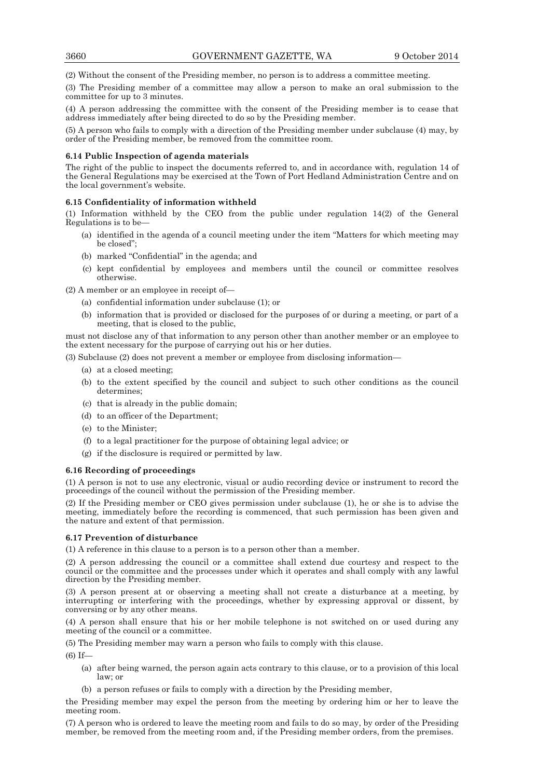(2) Without the consent of the Presiding member, no person is to address a committee meeting.

(3) The Presiding member of a committee may allow a person to make an oral submission to the committee for up to 3 minutes.

(4) A person addressing the committee with the consent of the Presiding member is to cease that address immediately after being directed to do so by the Presiding member.

(5) A person who fails to comply with a direction of the Presiding member under subclause (4) may, by order of the Presiding member, be removed from the committee room.

#### **6.14 Public Inspection of agenda materials**

The right of the public to inspect the documents referred to, and in accordance with, regulation 14 of the General Regulations may be exercised at the Town of Port Hedland Administration Centre and on the local government's website.

#### **6.15 Confidentiality of information withheld**

(1) Information withheld by the CEO from the public under regulation 14(2) of the General Regulations is to be—

- (a) identified in the agenda of a council meeting under the item "Matters for which meeting may be closed";
- (b) marked "Confidential" in the agenda; and
- (c) kept confidential by employees and members until the council or committee resolves otherwise.

(2) A member or an employee in receipt of—

- (a) confidential information under subclause (1); or
- (b) information that is provided or disclosed for the purposes of or during a meeting, or part of a meeting, that is closed to the public,

must not disclose any of that information to any person other than another member or an employee to the extent necessary for the purpose of carrying out his or her duties.

(3) Subclause (2) does not prevent a member or employee from disclosing information—

- (a) at a closed meeting;
- (b) to the extent specified by the council and subject to such other conditions as the council determines;
- (c) that is already in the public domain;
- (d) to an officer of the Department;
- (e) to the Minister;
- (f) to a legal practitioner for the purpose of obtaining legal advice; or
- (g) if the disclosure is required or permitted by law.

#### **6.16 Recording of proceedings**

(1) A person is not to use any electronic, visual or audio recording device or instrument to record the proceedings of the council without the permission of the Presiding member.

(2) If the Presiding member or CEO gives permission under subclause (1), he or she is to advise the meeting, immediately before the recording is commenced, that such permission has been given and the nature and extent of that permission.

#### **6.17 Prevention of disturbance**

(1) A reference in this clause to a person is to a person other than a member.

(2) A person addressing the council or a committee shall extend due courtesy and respect to the council or the committee and the processes under which it operates and shall comply with any lawful direction by the Presiding member.

(3) A person present at or observing a meeting shall not create a disturbance at a meeting, by interrupting or interfering with the proceedings, whether by expressing approval or dissent, by conversing or by any other means.

(4) A person shall ensure that his or her mobile telephone is not switched on or used during any meeting of the council or a committee.

(5) The Presiding member may warn a person who fails to comply with this clause.

 $(6)$  If

- (a) after being warned, the person again acts contrary to this clause, or to a provision of this local law; or
- (b) a person refuses or fails to comply with a direction by the Presiding member,

the Presiding member may expel the person from the meeting by ordering him or her to leave the meeting room.

(7) A person who is ordered to leave the meeting room and fails to do so may, by order of the Presiding member, be removed from the meeting room and, if the Presiding member orders, from the premises.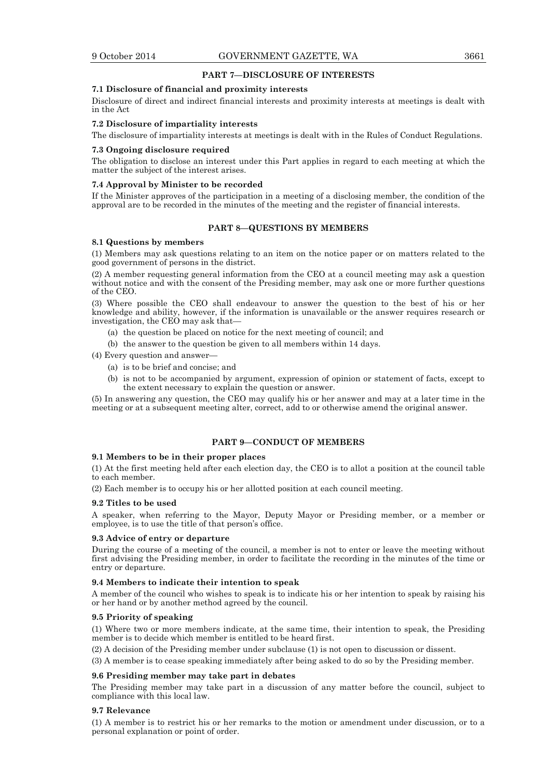#### **PART 7—DISCLOSURE OF INTERESTS**

#### **7.1 Disclosure of financial and proximity interests**

Disclosure of direct and indirect financial interests and proximity interests at meetings is dealt with in the Act

#### **7.2 Disclosure of impartiality interests**

The disclosure of impartiality interests at meetings is dealt with in the Rules of Conduct Regulations.

#### **7.3 Ongoing disclosure required**

The obligation to disclose an interest under this Part applies in regard to each meeting at which the matter the subject of the interest arises.

#### **7.4 Approval by Minister to be recorded**

If the Minister approves of the participation in a meeting of a disclosing member, the condition of the approval are to be recorded in the minutes of the meeting and the register of financial interests.

#### **PART 8—QUESTIONS BY MEMBERS**

#### **8.1 Questions by members**

(1) Members may ask questions relating to an item on the notice paper or on matters related to the good government of persons in the district.

(2) A member requesting general information from the CEO at a council meeting may ask a question without notice and with the consent of the Presiding member, may ask one or more further questions of the CEO.

(3) Where possible the CEO shall endeavour to answer the question to the best of his or her knowledge and ability, however, if the information is unavailable or the answer requires research or investigation, the CEO may ask that—

- (a) the question be placed on notice for the next meeting of council; and
- (b) the answer to the question be given to all members within 14 days.

(4) Every question and answer—

- (a) is to be brief and concise; and
- (b) is not to be accompanied by argument, expression of opinion or statement of facts, except to the extent necessary to explain the question or answer.

(5) In answering any question, the CEO may qualify his or her answer and may at a later time in the meeting or at a subsequent meeting alter, correct, add to or otherwise amend the original answer.

#### **PART 9—CONDUCT OF MEMBERS**

#### **9.1 Members to be in their proper places**

(1) At the first meeting held after each election day, the CEO is to allot a position at the council table to each member.

(2) Each member is to occupy his or her allotted position at each council meeting.

#### **9.2 Titles to be used**

A speaker, when referring to the Mayor, Deputy Mayor or Presiding member, or a member or employee, is to use the title of that person's office.

#### **9.3 Advice of entry or departure**

During the course of a meeting of the council, a member is not to enter or leave the meeting without first advising the Presiding member, in order to facilitate the recording in the minutes of the time or entry or departure.

#### **9.4 Members to indicate their intention to speak**

A member of the council who wishes to speak is to indicate his or her intention to speak by raising his or her hand or by another method agreed by the council.

#### **9.5 Priority of speaking**

(1) Where two or more members indicate, at the same time, their intention to speak, the Presiding member is to decide which member is entitled to be heard first.

(2) A decision of the Presiding member under subclause (1) is not open to discussion or dissent.

(3) A member is to cease speaking immediately after being asked to do so by the Presiding member.

#### **9.6 Presiding member may take part in debates**

The Presiding member may take part in a discussion of any matter before the council, subject to compliance with this local law.

#### **9.7 Relevance**

(1) A member is to restrict his or her remarks to the motion or amendment under discussion, or to a personal explanation or point of order.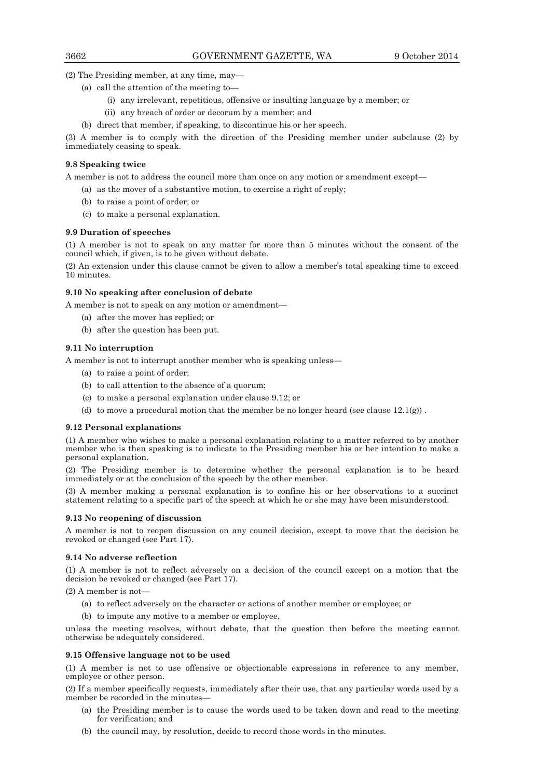(2) The Presiding member, at any time, may—

- (a) call the attention of the meeting to—
	- (i) any irrelevant, repetitious, offensive or insulting language by a member; or
	- (ii) any breach of order or decorum by a member; and
- (b) direct that member, if speaking, to discontinue his or her speech.

(3) A member is to comply with the direction of the Presiding member under subclause (2) by immediately ceasing to speak.

#### **9.8 Speaking twice**

A member is not to address the council more than once on any motion or amendment except—

- (a) as the mover of a substantive motion, to exercise a right of reply;
- (b) to raise a point of order; or
- (c) to make a personal explanation.

#### **9.9 Duration of speeches**

(1) A member is not to speak on any matter for more than 5 minutes without the consent of the council which, if given, is to be given without debate.

(2) An extension under this clause cannot be given to allow a member's total speaking time to exceed 10 minutes.

#### **9.10 No speaking after conclusion of debate**

A member is not to speak on any motion or amendment—

- (a) after the mover has replied; or
- (b) after the question has been put.

#### **9.11 No interruption**

A member is not to interrupt another member who is speaking unless—

- (a) to raise a point of order;
- (b) to call attention to the absence of a quorum;
- (c) to make a personal explanation under clause 9.12; or
- (d) to move a procedural motion that the member be no longer heard (see clause  $12.1(g)$ ).

#### **9.12 Personal explanations**

(1) A member who wishes to make a personal explanation relating to a matter referred to by another member who is then speaking is to indicate to the Presiding member his or her intention to make a personal explanation.

(2) The Presiding member is to determine whether the personal explanation is to be heard immediately or at the conclusion of the speech by the other member.

(3) A member making a personal explanation is to confine his or her observations to a succinct statement relating to a specific part of the speech at which he or she may have been misunderstood.

#### **9.13 No reopening of discussion**

A member is not to reopen discussion on any council decision, except to move that the decision be revoked or changed (see Part 17).

#### **9.14 No adverse reflection**

(1) A member is not to reflect adversely on a decision of the council except on a motion that the decision be revoked or changed (see Part 17).

 $(2)$  A member is not-

- (a) to reflect adversely on the character or actions of another member or employee; or
- (b) to impute any motive to a member or employee,

unless the meeting resolves, without debate, that the question then before the meeting cannot otherwise be adequately considered.

#### **9.15 Offensive language not to be used**

(1) A member is not to use offensive or objectionable expressions in reference to any member, employee or other person.

(2) If a member specifically requests, immediately after their use, that any particular words used by a member be recorded in the minutes—

- (a) the Presiding member is to cause the words used to be taken down and read to the meeting for verification; and
- (b) the council may, by resolution, decide to record those words in the minutes.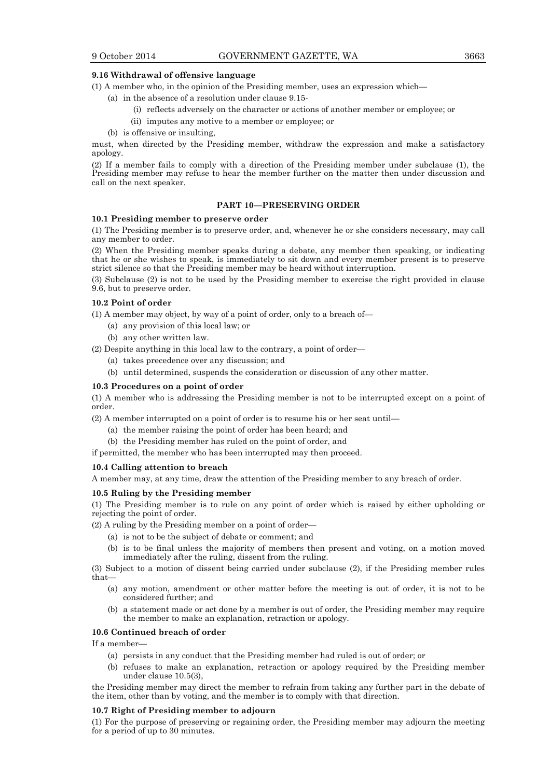#### **9.16 Withdrawal of offensive language**

(1) A member who, in the opinion of the Presiding member, uses an expression which—

- (a) in the absence of a resolution under clause 9.15-
	- (i) reflects adversely on the character or actions of another member or employee; or
	- (ii) imputes any motive to a member or employee; or
- (b) is offensive or insulting,

must, when directed by the Presiding member, withdraw the expression and make a satisfactory apology.

(2) If a member fails to comply with a direction of the Presiding member under subclause (1), the Presiding member may refuse to hear the member further on the matter then under discussion and call on the next speaker.

#### **PART 10—PRESERVING ORDER**

#### **10.1 Presiding member to preserve order**

(1) The Presiding member is to preserve order, and, whenever he or she considers necessary, may call any member to order.

(2) When the Presiding member speaks during a debate, any member then speaking, or indicating that he or she wishes to speak, is immediately to sit down and every member present is to preserve strict silence so that the Presiding member may be heard without interruption.

(3) Subclause (2) is not to be used by the Presiding member to exercise the right provided in clause 9.6, but to preserve order.

#### **10.2 Point of order**

(1) A member may object, by way of a point of order, only to a breach of—

- (a) any provision of this local law; or
- (b) any other written law.

(2) Despite anything in this local law to the contrary, a point of order—

- (a) takes precedence over any discussion; and
- (b) until determined, suspends the consideration or discussion of any other matter.

#### **10.3 Procedures on a point of order**

(1) A member who is addressing the Presiding member is not to be interrupted except on a point of order.

(2) A member interrupted on a point of order is to resume his or her seat until—

- (a) the member raising the point of order has been heard; and
- (b) the Presiding member has ruled on the point of order, and

if permitted, the member who has been interrupted may then proceed.

#### **10.4 Calling attention to breach**

A member may, at any time, draw the attention of the Presiding member to any breach of order.

#### **10.5 Ruling by the Presiding member**

(1) The Presiding member is to rule on any point of order which is raised by either upholding or rejecting the point of order.

(2) A ruling by the Presiding member on a point of order—

- (a) is not to be the subject of debate or comment; and
- (b) is to be final unless the majority of members then present and voting, on a motion moved immediately after the ruling, dissent from the ruling.

(3) Subject to a motion of dissent being carried under subclause (2), if the Presiding member rules that—

- (a) any motion, amendment or other matter before the meeting is out of order, it is not to be considered further; and
- (b) a statement made or act done by a member is out of order, the Presiding member may require the member to make an explanation, retraction or apology.

#### **10.6 Continued breach of order**

If a member—

- (a) persists in any conduct that the Presiding member had ruled is out of order; or
- (b) refuses to make an explanation, retraction or apology required by the Presiding member under clause 10.5(3),

the Presiding member may direct the member to refrain from taking any further part in the debate of the item, other than by voting, and the member is to comply with that direction.

#### **10.7 Right of Presiding member to adjourn**

(1) For the purpose of preserving or regaining order, the Presiding member may adjourn the meeting for a period of up to 30 minutes.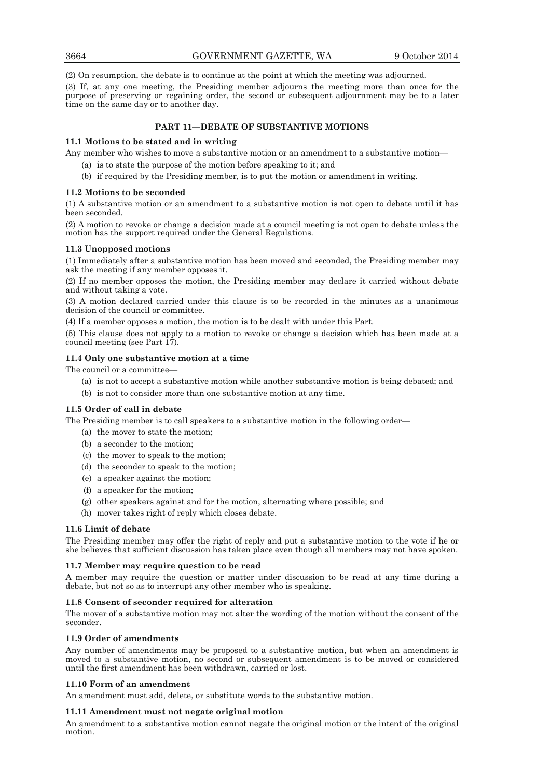(2) On resumption, the debate is to continue at the point at which the meeting was adjourned.

(3) If, at any one meeting, the Presiding member adjourns the meeting more than once for the purpose of preserving or regaining order, the second or subsequent adjournment may be to a later time on the same day or to another day.

#### **PART 11—DEBATE OF SUBSTANTIVE MOTIONS**

#### **11.1 Motions to be stated and in writing**

Any member who wishes to move a substantive motion or an amendment to a substantive motion—

- (a) is to state the purpose of the motion before speaking to it; and
- (b) if required by the Presiding member, is to put the motion or amendment in writing.

#### **11.2 Motions to be seconded**

(1) A substantive motion or an amendment to a substantive motion is not open to debate until it has been seconded.

(2) A motion to revoke or change a decision made at a council meeting is not open to debate unless the motion has the support required under the General Regulations.

#### **11.3 Unopposed motions**

(1) Immediately after a substantive motion has been moved and seconded, the Presiding member may ask the meeting if any member opposes it.

(2) If no member opposes the motion, the Presiding member may declare it carried without debate and without taking a vote.

(3) A motion declared carried under this clause is to be recorded in the minutes as a unanimous decision of the council or committee.

(4) If a member opposes a motion, the motion is to be dealt with under this Part.

(5) This clause does not apply to a motion to revoke or change a decision which has been made at a council meeting (see Part 17).

#### **11.4 Only one substantive motion at a time**

The council or a committee—

- (a) is not to accept a substantive motion while another substantive motion is being debated; and
- (b) is not to consider more than one substantive motion at any time.

#### **11.5 Order of call in debate**

The Presiding member is to call speakers to a substantive motion in the following order—

- (a) the mover to state the motion;
- (b) a seconder to the motion;
- (c) the mover to speak to the motion;
- (d) the seconder to speak to the motion;
- (e) a speaker against the motion;
- (f) a speaker for the motion;
- (g) other speakers against and for the motion, alternating where possible; and
- (h) mover takes right of reply which closes debate.

#### **11.6 Limit of debate**

The Presiding member may offer the right of reply and put a substantive motion to the vote if he or she believes that sufficient discussion has taken place even though all members may not have spoken.

#### **11.7 Member may require question to be read**

A member may require the question or matter under discussion to be read at any time during a debate, but not so as to interrupt any other member who is speaking.

#### **11.8 Consent of seconder required for alteration**

The mover of a substantive motion may not alter the wording of the motion without the consent of the seconder.

#### **11.9 Order of amendments**

Any number of amendments may be proposed to a substantive motion, but when an amendment is moved to a substantive motion, no second or subsequent amendment is to be moved or considered until the first amendment has been withdrawn, carried or lost.

#### **11.10 Form of an amendment**

An amendment must add, delete, or substitute words to the substantive motion.

#### **11.11 Amendment must not negate original motion**

An amendment to a substantive motion cannot negate the original motion or the intent of the original motion.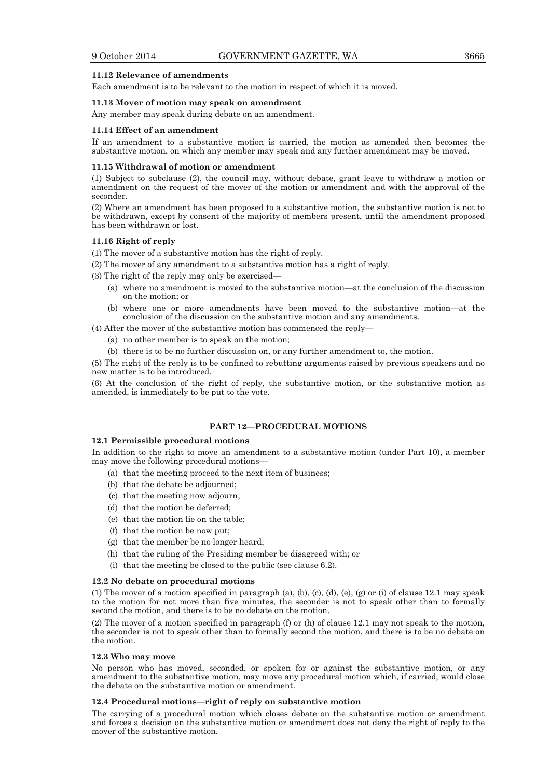#### **11.12 Relevance of amendments**

Each amendment is to be relevant to the motion in respect of which it is moved.

#### **11.13 Mover of motion may speak on amendment**

Any member may speak during debate on an amendment.

#### **11.14 Effect of an amendment**

If an amendment to a substantive motion is carried, the motion as amended then becomes the substantive motion, on which any member may speak and any further amendment may be moved.

#### **11.15 Withdrawal of motion or amendment**

(1) Subject to subclause (2), the council may, without debate, grant leave to withdraw a motion or amendment on the request of the mover of the motion or amendment and with the approval of the seconder.

(2) Where an amendment has been proposed to a substantive motion, the substantive motion is not to be withdrawn, except by consent of the majority of members present, until the amendment proposed has been withdrawn or lost.

#### **11.16 Right of reply**

- (1) The mover of a substantive motion has the right of reply.
- (2) The mover of any amendment to a substantive motion has a right of reply.

(3) The right of the reply may only be exercised—

- (a) where no amendment is moved to the substantive motion—at the conclusion of the discussion on the motion; or
- (b) where one or more amendments have been moved to the substantive motion—at the conclusion of the discussion on the substantive motion and any amendments.

(4) After the mover of the substantive motion has commenced the reply—

- (a) no other member is to speak on the motion;
- (b) there is to be no further discussion on, or any further amendment to, the motion.

(5) The right of the reply is to be confined to rebutting arguments raised by previous speakers and no new matter is to be introduced.

(6) At the conclusion of the right of reply, the substantive motion, or the substantive motion as amended, is immediately to be put to the vote.

#### **PART 12—PROCEDURAL MOTIONS**

#### **12.1 Permissible procedural motions**

In addition to the right to move an amendment to a substantive motion (under Part 10), a member may move the following procedural motions—

- (a) that the meeting proceed to the next item of business;
- (b) that the debate be adjourned;
- (c) that the meeting now adjourn;
- (d) that the motion be deferred;
- (e) that the motion lie on the table;
- (f) that the motion be now put;
- (g) that the member be no longer heard;
- (h) that the ruling of the Presiding member be disagreed with; or
- (i) that the meeting be closed to the public (see clause 6.2).

#### **12.2 No debate on procedural motions**

(1) The mover of a motion specified in paragraph (a), (b), (c), (d), (e), (g) or (i) of clause 12.1 may speak to the motion for not more than five minutes, the seconder is not to speak other than to formally second the motion, and there is to be no debate on the motion.

(2) The mover of a motion specified in paragraph (f) or (h) of clause 12.1 may not speak to the motion, the seconder is not to speak other than to formally second the motion, and there is to be no debate on the motion.

#### **12.3 Who may move**

No person who has moved, seconded, or spoken for or against the substantive motion, or any amendment to the substantive motion, may move any procedural motion which, if carried, would close the debate on the substantive motion or amendment.

#### **12.4 Procedural motions—right of reply on substantive motion**

The carrying of a procedural motion which closes debate on the substantive motion or amendment and forces a decision on the substantive motion or amendment does not deny the right of reply to the mover of the substantive motion.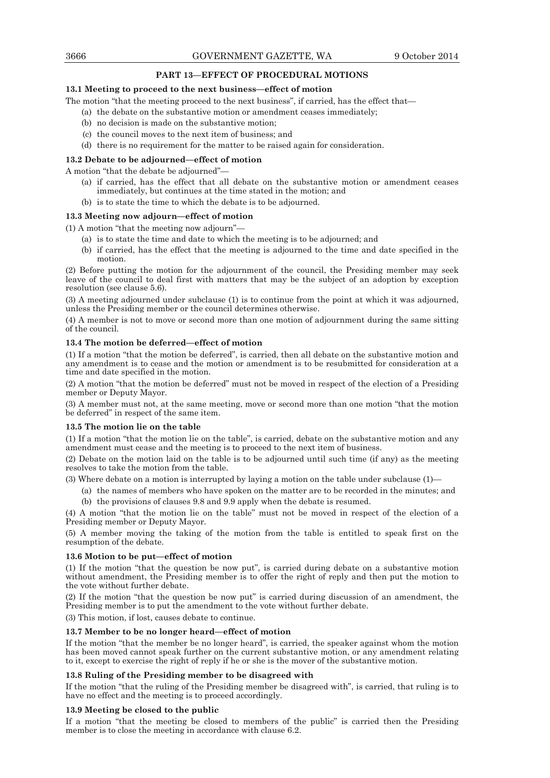#### **PART 13—EFFECT OF PROCEDURAL MOTIONS**

#### **13.1 Meeting to proceed to the next business—effect of motion**

The motion "that the meeting proceed to the next business", if carried, has the effect that—

- (a) the debate on the substantive motion or amendment ceases immediately;
- (b) no decision is made on the substantive motion;
- (c) the council moves to the next item of business; and
- (d) there is no requirement for the matter to be raised again for consideration.

#### **13.2 Debate to be adjourned—effect of motion**

A motion "that the debate be adjourned"—

- (a) if carried, has the effect that all debate on the substantive motion or amendment ceases immediately, but continues at the time stated in the motion; and
- (b) is to state the time to which the debate is to be adjourned.

#### **13.3 Meeting now adjourn—effect of motion**

(1) A motion "that the meeting now adjourn"—

- (a) is to state the time and date to which the meeting is to be adjourned; and
- (b) if carried, has the effect that the meeting is adjourned to the time and date specified in the motion.

(2) Before putting the motion for the adjournment of the council, the Presiding member may seek leave of the council to deal first with matters that may be the subject of an adoption by exception resolution (see clause 5.6).

(3) A meeting adjourned under subclause (1) is to continue from the point at which it was adjourned, unless the Presiding member or the council determines otherwise.

(4) A member is not to move or second more than one motion of adjournment during the same sitting of the council.

#### **13.4 The motion be deferred—effect of motion**

(1) If a motion "that the motion be deferred", is carried, then all debate on the substantive motion and any amendment is to cease and the motion or amendment is to be resubmitted for consideration at a time and date specified in the motion.

(2) A motion "that the motion be deferred" must not be moved in respect of the election of a Presiding member or Deputy Mayor.

(3) A member must not, at the same meeting, move or second more than one motion "that the motion be deferred" in respect of the same item.

#### **13.5 The motion lie on the table**

(1) If a motion "that the motion lie on the table", is carried, debate on the substantive motion and any amendment must cease and the meeting is to proceed to the next item of business.

(2) Debate on the motion laid on the table is to be adjourned until such time (if any) as the meeting resolves to take the motion from the table.

(3) Where debate on a motion is interrupted by laying a motion on the table under subclause (1)—

 (a) the names of members who have spoken on the matter are to be recorded in the minutes; and (b) the provisions of clauses 9.8 and 9.9 apply when the debate is resumed.

(4) A motion "that the motion lie on the table" must not be moved in respect of the election of a Presiding member or Deputy Mayor.

(5) A member moving the taking of the motion from the table is entitled to speak first on the resumption of the debate.

#### **13.6 Motion to be put—effect of motion**

(1) If the motion "that the question be now put", is carried during debate on a substantive motion without amendment, the Presiding member is to offer the right of reply and then put the motion to the vote without further debate.

(2) If the motion "that the question be now put" is carried during discussion of an amendment, the Presiding member is to put the amendment to the vote without further debate.

(3) This motion, if lost, causes debate to continue.

#### **13.7 Member to be no longer heard—effect of motion**

If the motion "that the member be no longer heard", is carried, the speaker against whom the motion has been moved cannot speak further on the current substantive motion, or any amendment relating to it, except to exercise the right of reply if he or she is the mover of the substantive motion.

#### **13.8 Ruling of the Presiding member to be disagreed with**

If the motion "that the ruling of the Presiding member be disagreed with", is carried, that ruling is to have no effect and the meeting is to proceed accordingly.

#### **13.9 Meeting be closed to the public**

If a motion "that the meeting be closed to members of the public" is carried then the Presiding member is to close the meeting in accordance with clause 6.2.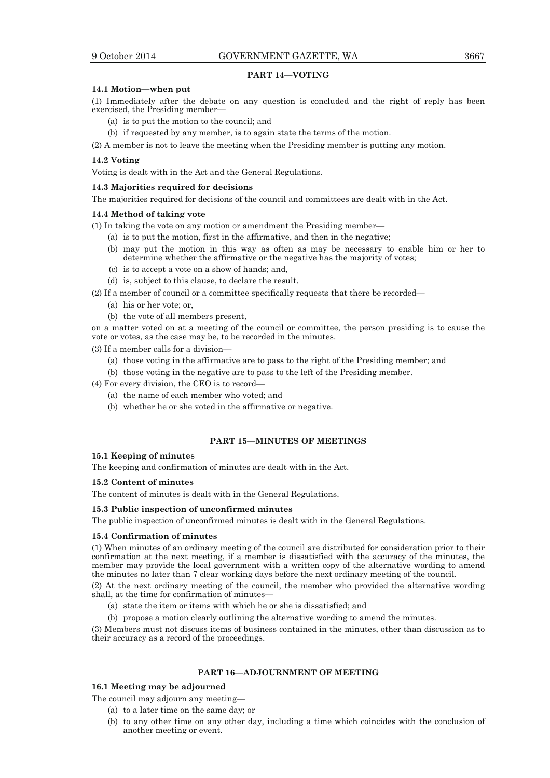#### **PART 14—VOTING**

#### **14.1 Motion—when put**

(1) Immediately after the debate on any question is concluded and the right of reply has been exercised, the Presiding member—

- (a) is to put the motion to the council; and
- (b) if requested by any member, is to again state the terms of the motion.

(2) A member is not to leave the meeting when the Presiding member is putting any motion.

#### **14.2 Voting**

Voting is dealt with in the Act and the General Regulations.

#### **14.3 Majorities required for decisions**

The majorities required for decisions of the council and committees are dealt with in the Act.

#### **14.4 Method of taking vote**

(1) In taking the vote on any motion or amendment the Presiding member—

- (a) is to put the motion, first in the affirmative, and then in the negative;
- (b) may put the motion in this way as often as may be necessary to enable him or her to determine whether the affirmative or the negative has the majority of votes;
- (c) is to accept a vote on a show of hands; and,
- (d) is, subject to this clause, to declare the result.
- (2) If a member of council or a committee specifically requests that there be recorded—
	- (a) his or her vote; or,
	- (b) the vote of all members present,

on a matter voted on at a meeting of the council or committee, the person presiding is to cause the vote or votes, as the case may be, to be recorded in the minutes.

(3) If a member calls for a division—

- (a) those voting in the affirmative are to pass to the right of the Presiding member; and
- (b) those voting in the negative are to pass to the left of the Presiding member.

(4) For every division, the CEO is to record—

- (a) the name of each member who voted; and
- (b) whether he or she voted in the affirmative or negative.

#### **PART 15—MINUTES OF MEETINGS**

#### **15.1 Keeping of minutes**

The keeping and confirmation of minutes are dealt with in the Act.

#### **15.2 Content of minutes**

The content of minutes is dealt with in the General Regulations.

#### **15.3 Public inspection of unconfirmed minutes**

The public inspection of unconfirmed minutes is dealt with in the General Regulations.

#### **15.4 Confirmation of minutes**

(1) When minutes of an ordinary meeting of the council are distributed for consideration prior to their confirmation at the next meeting, if a member is dissatisfied with the accuracy of the minutes, the member may provide the local government with a written copy of the alternative wording to amend the minutes no later than 7 clear working days before the next ordinary meeting of the council.

(2) At the next ordinary meeting of the council, the member who provided the alternative wording shall, at the time for confirmation of minutes—

(a) state the item or items with which he or she is dissatisfied; and

(b) propose a motion clearly outlining the alternative wording to amend the minutes.

(3) Members must not discuss items of business contained in the minutes, other than discussion as to their accuracy as a record of the proceedings.

#### **PART 16—ADJOURNMENT OF MEETING**

#### **16.1 Meeting may be adjourned**

The council may adjourn any meeting—

- (a) to a later time on the same day; or
- (b) to any other time on any other day, including a time which coincides with the conclusion of another meeting or event.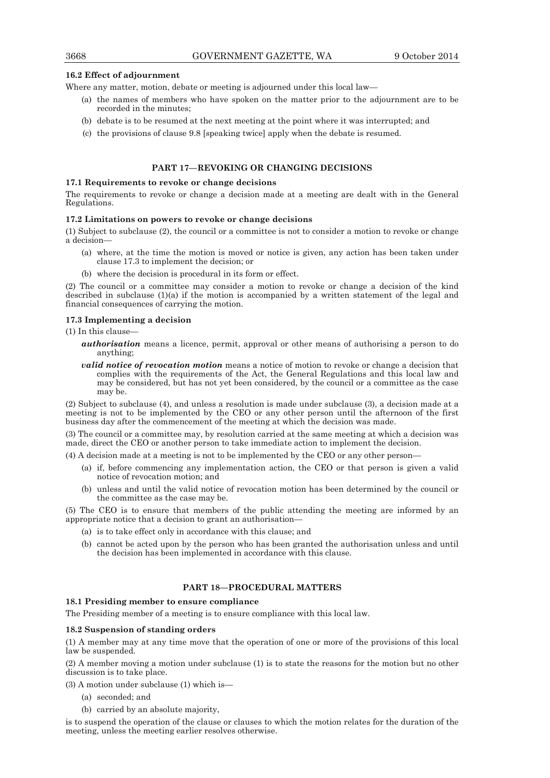#### **16.2 Effect of adjournment**

Where any matter, motion, debate or meeting is adjourned under this local law—

- (a) the names of members who have spoken on the matter prior to the adjournment are to be recorded in the minutes;
- (b) debate is to be resumed at the next meeting at the point where it was interrupted; and
- (c) the provisions of clause 9.8 [speaking twice] apply when the debate is resumed.

#### **PART 17—REVOKING OR CHANGING DECISIONS**

#### **17.1 Requirements to revoke or change decisions**

The requirements to revoke or change a decision made at a meeting are dealt with in the General Regulations.

#### **17.2 Limitations on powers to revoke or change decisions**

(1) Subject to subclause (2), the council or a committee is not to consider a motion to revoke or change a decision—

- (a) where, at the time the motion is moved or notice is given, any action has been taken under clause 17.3 to implement the decision; or
- (b) where the decision is procedural in its form or effect.

(2) The council or a committee may consider a motion to revoke or change a decision of the kind described in subclause (1)(a) if the motion is accompanied by a written statement of the legal and financial consequences of carrying the motion.

#### **17.3 Implementing a decision**

#### (1) In this clause—

- *authorisation* means a licence, permit, approval or other means of authorising a person to do anything;
- *valid notice of revocation motion* means a notice of motion to revoke or change a decision that complies with the requirements of the Act, the General Regulations and this local law and may be considered, but has not yet been considered, by the council or a committee as the case may be.

(2) Subject to subclause (4), and unless a resolution is made under subclause (3), a decision made at a meeting is not to be implemented by the CEO or any other person until the afternoon of the first business day after the commencement of the meeting at which the decision was made.

(3) The council or a committee may, by resolution carried at the same meeting at which a decision was made, direct the CEO or another person to take immediate action to implement the decision.

(4) A decision made at a meeting is not to be implemented by the CEO or any other person—

- (a) if, before commencing any implementation action, the CEO or that person is given a valid notice of revocation motion; and
- (b) unless and until the valid notice of revocation motion has been determined by the council or the committee as the case may be.

(5) The CEO is to ensure that members of the public attending the meeting are informed by an appropriate notice that a decision to grant an authorisation—

- (a) is to take effect only in accordance with this clause; and
- (b) cannot be acted upon by the person who has been granted the authorisation unless and until the decision has been implemented in accordance with this clause.

#### **PART 18—PROCEDURAL MATTERS**

#### **18.1 Presiding member to ensure compliance**

The Presiding member of a meeting is to ensure compliance with this local law.

#### **18.2 Suspension of standing orders**

(1) A member may at any time move that the operation of one or more of the provisions of this local law be suspended.

(2) A member moving a motion under subclause (1) is to state the reasons for the motion but no other discussion is to take place.

(3) A motion under subclause (1) which is—

- (a) seconded; and
- (b) carried by an absolute majority,

is to suspend the operation of the clause or clauses to which the motion relates for the duration of the meeting, unless the meeting earlier resolves otherwise.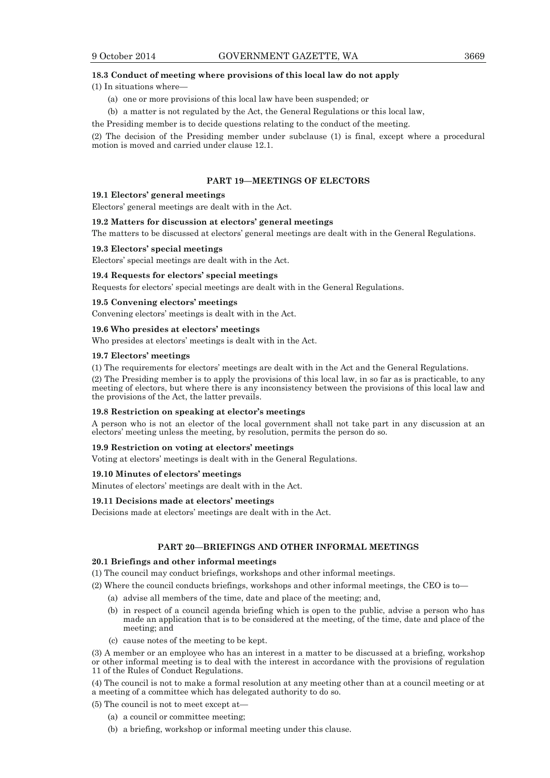#### **18.3 Conduct of meeting where provisions of this local law do not apply**

(1) In situations where—

- (a) one or more provisions of this local law have been suspended; or
- (b) a matter is not regulated by the Act, the General Regulations or this local law,

the Presiding member is to decide questions relating to the conduct of the meeting.

(2) The decision of the Presiding member under subclause (1) is final, except where a procedural motion is moved and carried under clause 12.1.

#### **PART 19—MEETINGS OF ELECTORS**

#### **19.1 Electors' general meetings**

Electors' general meetings are dealt with in the Act.

#### **19.2 Matters for discussion at electors' general meetings**

The matters to be discussed at electors' general meetings are dealt with in the General Regulations.

#### **19.3 Electors' special meetings**

Electors' special meetings are dealt with in the Act.

#### **19.4 Requests for electors' special meetings**

Requests for electors' special meetings are dealt with in the General Regulations.

#### **19.5 Convening electors' meetings**

Convening electors' meetings is dealt with in the Act.

#### **19.6 Who presides at electors' meetings**

Who presides at electors' meetings is dealt with in the Act.

#### **19.7 Electors' meetings**

(1) The requirements for electors' meetings are dealt with in the Act and the General Regulations.

(2) The Presiding member is to apply the provisions of this local law, in so far as is practicable, to any meeting of electors, but where there is any inconsistency between the provisions of this local law and the provisions of the Act, the latter prevails.

#### **19.8 Restriction on speaking at elector's meetings**

A person who is not an elector of the local government shall not take part in any discussion at an electors' meeting unless the meeting, by resolution, permits the person do so.

#### **19.9 Restriction on voting at electors' meetings**

Voting at electors' meetings is dealt with in the General Regulations.

#### **19.10 Minutes of electors' meetings**

Minutes of electors' meetings are dealt with in the Act.

#### **19.11 Decisions made at electors' meetings**

Decisions made at electors' meetings are dealt with in the Act.

#### **PART 20—BRIEFINGS AND OTHER INFORMAL MEETINGS**

#### **20.1 Briefings and other informal meetings**

- (1) The council may conduct briefings, workshops and other informal meetings.
- (2) Where the council conducts briefings, workshops and other informal meetings, the CEO is to—
	- (a) advise all members of the time, date and place of the meeting; and,
	- (b) in respect of a council agenda briefing which is open to the public, advise a person who has made an application that is to be considered at the meeting, of the time, date and place of the meeting; and
	- (c) cause notes of the meeting to be kept.

(3) A member or an employee who has an interest in a matter to be discussed at a briefing, workshop or other informal meeting is to deal with the interest in accordance with the provisions of regulation 11 of the Rules of Conduct Regulations.

(4) The council is not to make a formal resolution at any meeting other than at a council meeting or at a meeting of a committee which has delegated authority to do so.

(5) The council is not to meet except at—

- (a) a council or committee meeting;
- (b) a briefing, workshop or informal meeting under this clause.